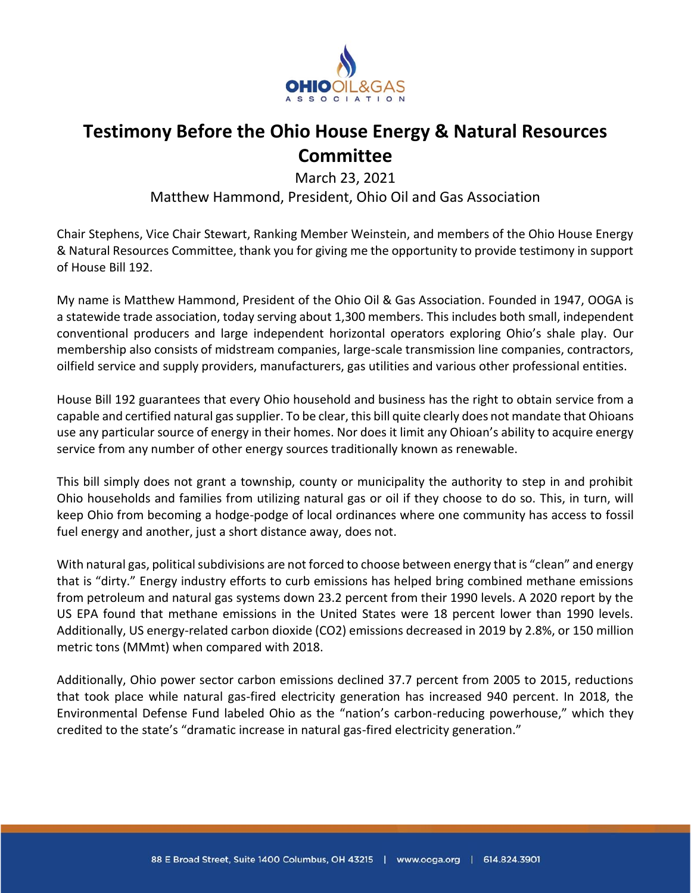

## **Testimony Before the Ohio House Energy & Natural Resources Committee**

March 23, 2021

Matthew Hammond, President, Ohio Oil and Gas Association

Chair Stephens, Vice Chair Stewart, Ranking Member Weinstein, and members of the Ohio House Energy & Natural Resources Committee, thank you for giving me the opportunity to provide testimony in support of House Bill 192.

My name is Matthew Hammond, President of the Ohio Oil & Gas Association. Founded in 1947, OOGA is a statewide trade association, today serving about 1,300 members. This includes both small, independent conventional producers and large independent horizontal operators exploring Ohio's shale play. Our membership also consists of midstream companies, large-scale transmission line companies, contractors, oilfield service and supply providers, manufacturers, gas utilities and various other professional entities.

House Bill 192 guarantees that every Ohio household and business has the right to obtain service from a capable and certified natural gas supplier. To be clear, this bill quite clearly does not mandate that Ohioans use any particular source of energy in their homes. Nor does it limit any Ohioan's ability to acquire energy service from any number of other energy sources traditionally known as renewable.

This bill simply does not grant a township, county or municipality the authority to step in and prohibit Ohio households and families from utilizing natural gas or oil if they choose to do so. This, in turn, will keep Ohio from becoming a hodge-podge of local ordinances where one community has access to fossil fuel energy and another, just a short distance away, does not.

With natural gas, political subdivisions are not forced to choose between energy that is "clean" and energy that is "dirty." Energy industry efforts to curb emissions has helped bring combined methane emissions from petroleum and natural gas systems down 23.2 percent from their 1990 levels. A 2020 report by the US EPA found that methane emissions in the United States were 18 percent lower than 1990 levels. Additionally, US energy-related carbon dioxide (CO2) emissions decreased in 2019 by 2.8%, or 150 million metric tons (MMmt) when compared with 2018.

Additionally, Ohio power sector carbon emissions declined 37.7 percent from 2005 to 2015, reductions that took place while natural gas-fired electricity generation has increased 940 percent. In 2018, the Environmental Defense Fund labeled Ohio as the "nation's carbon-reducing powerhouse," which they credited to the state's "dramatic increase in natural gas-fired electricity generation."